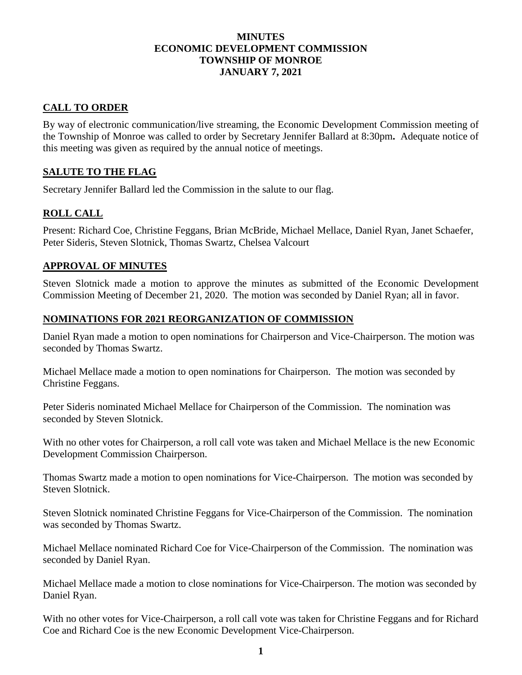#### **MINUTES ECONOMIC DEVELOPMENT COMMISSION TOWNSHIP OF MONROE JANUARY 7, 2021**

# **CALL TO ORDER**

By way of electronic communication/live streaming, the Economic Development Commission meeting of the Township of Monroe was called to order by Secretary Jennifer Ballard at 8:30pm**.** Adequate notice of this meeting was given as required by the annual notice of meetings.

# **SALUTE TO THE FLAG**

Secretary Jennifer Ballard led the Commission in the salute to our flag.

## **ROLL CALL**

Present: Richard Coe, Christine Feggans, Brian McBride, Michael Mellace, Daniel Ryan, Janet Schaefer, Peter Sideris, Steven Slotnick, Thomas Swartz, Chelsea Valcourt

### **APPROVAL OF MINUTES**

Steven Slotnick made a motion to approve the minutes as submitted of the Economic Development Commission Meeting of December 21, 2020. The motion was seconded by Daniel Ryan; all in favor.

#### **NOMINATIONS FOR 2021 REORGANIZATION OF COMMISSION**

Daniel Ryan made a motion to open nominations for Chairperson and Vice-Chairperson. The motion was seconded by Thomas Swartz.

Michael Mellace made a motion to open nominations for Chairperson. The motion was seconded by Christine Feggans.

Peter Sideris nominated Michael Mellace for Chairperson of the Commission. The nomination was seconded by Steven Slotnick.

With no other votes for Chairperson, a roll call vote was taken and Michael Mellace is the new Economic Development Commission Chairperson.

Thomas Swartz made a motion to open nominations for Vice-Chairperson. The motion was seconded by Steven Slotnick.

Steven Slotnick nominated Christine Feggans for Vice-Chairperson of the Commission. The nomination was seconded by Thomas Swartz.

Michael Mellace nominated Richard Coe for Vice-Chairperson of the Commission. The nomination was seconded by Daniel Ryan.

Michael Mellace made a motion to close nominations for Vice-Chairperson. The motion was seconded by Daniel Ryan.

With no other votes for Vice-Chairperson, a roll call vote was taken for Christine Feggans and for Richard Coe and Richard Coe is the new Economic Development Vice-Chairperson.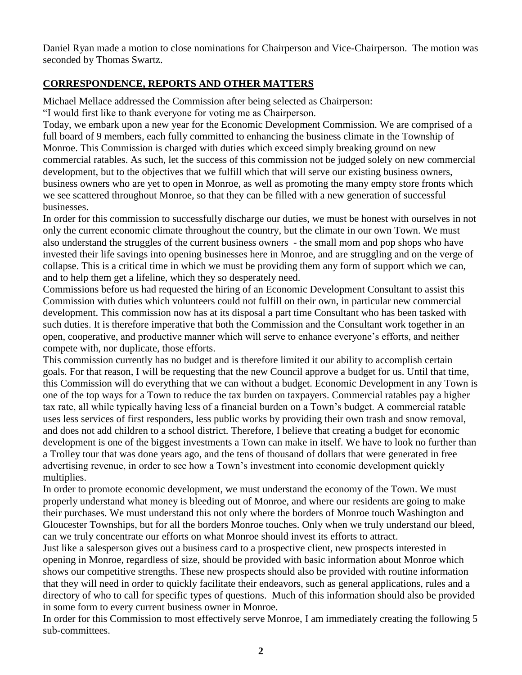Daniel Ryan made a motion to close nominations for Chairperson and Vice-Chairperson. The motion was seconded by Thomas Swartz.

### **CORRESPONDENCE, REPORTS AND OTHER MATTERS**

Michael Mellace addressed the Commission after being selected as Chairperson:

"I would first like to thank everyone for voting me as Chairperson.

Today, we embark upon a new year for the Economic Development Commission. We are comprised of a full board of 9 members, each fully committed to enhancing the business climate in the Township of Monroe. This Commission is charged with duties which exceed simply breaking ground on new commercial ratables. As such, let the success of this commission not be judged solely on new commercial development, but to the objectives that we fulfill which that will serve our existing business owners, business owners who are yet to open in Monroe, as well as promoting the many empty store fronts which we see scattered throughout Monroe, so that they can be filled with a new generation of successful businesses.

In order for this commission to successfully discharge our duties, we must be honest with ourselves in not only the current economic climate throughout the country, but the climate in our own Town. We must also understand the struggles of the current business owners - the small mom and pop shops who have invested their life savings into opening businesses here in Monroe, and are struggling and on the verge of collapse. This is a critical time in which we must be providing them any form of support which we can, and to help them get a lifeline, which they so desperately need.

Commissions before us had requested the hiring of an Economic Development Consultant to assist this Commission with duties which volunteers could not fulfill on their own, in particular new commercial development. This commission now has at its disposal a part time Consultant who has been tasked with such duties. It is therefore imperative that both the Commission and the Consultant work together in an open, cooperative, and productive manner which will serve to enhance everyone's efforts, and neither compete with, nor duplicate, those efforts.

This commission currently has no budget and is therefore limited it our ability to accomplish certain goals. For that reason, I will be requesting that the new Council approve a budget for us. Until that time, this Commission will do everything that we can without a budget. Economic Development in any Town is one of the top ways for a Town to reduce the tax burden on taxpayers. Commercial ratables pay a higher tax rate, all while typically having less of a financial burden on a Town's budget. A commercial ratable uses less services of first responders, less public works by providing their own trash and snow removal, and does not add children to a school district. Therefore, I believe that creating a budget for economic development is one of the biggest investments a Town can make in itself. We have to look no further than a Trolley tour that was done years ago, and the tens of thousand of dollars that were generated in free advertising revenue, in order to see how a Town's investment into economic development quickly multiplies.

In order to promote economic development, we must understand the economy of the Town. We must properly understand what money is bleeding out of Monroe, and where our residents are going to make their purchases. We must understand this not only where the borders of Monroe touch Washington and Gloucester Townships, but for all the borders Monroe touches. Only when we truly understand our bleed, can we truly concentrate our efforts on what Monroe should invest its efforts to attract.

Just like a salesperson gives out a business card to a prospective client, new prospects interested in opening in Monroe, regardless of size, should be provided with basic information about Monroe which shows our competitive strengths. These new prospects should also be provided with routine information that they will need in order to quickly facilitate their endeavors, such as general applications, rules and a directory of who to call for specific types of questions. Much of this information should also be provided in some form to every current business owner in Monroe.

In order for this Commission to most effectively serve Monroe, I am immediately creating the following 5 sub-committees.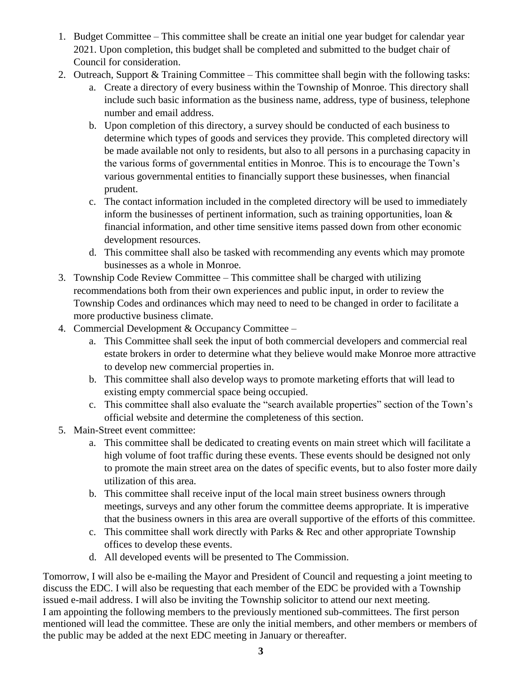- 1. Budget Committee This committee shall be create an initial one year budget for calendar year 2021. Upon completion, this budget shall be completed and submitted to the budget chair of Council for consideration.
- 2. Outreach, Support & Training Committee This committee shall begin with the following tasks:
	- a. Create a directory of every business within the Township of Monroe. This directory shall include such basic information as the business name, address, type of business, telephone number and email address.
	- b. Upon completion of this directory, a survey should be conducted of each business to determine which types of goods and services they provide. This completed directory will be made available not only to residents, but also to all persons in a purchasing capacity in the various forms of governmental entities in Monroe. This is to encourage the Town's various governmental entities to financially support these businesses, when financial prudent.
	- c. The contact information included in the completed directory will be used to immediately inform the businesses of pertinent information, such as training opportunities, loan & financial information, and other time sensitive items passed down from other economic development resources.
	- d. This committee shall also be tasked with recommending any events which may promote businesses as a whole in Monroe.
- 3. Township Code Review Committee This committee shall be charged with utilizing recommendations both from their own experiences and public input, in order to review the Township Codes and ordinances which may need to need to be changed in order to facilitate a more productive business climate.
- 4. Commercial Development & Occupancy Committee
	- a. This Committee shall seek the input of both commercial developers and commercial real estate brokers in order to determine what they believe would make Monroe more attractive to develop new commercial properties in.
	- b. This committee shall also develop ways to promote marketing efforts that will lead to existing empty commercial space being occupied.
	- c. This committee shall also evaluate the "search available properties" section of the Town's official website and determine the completeness of this section.
- 5. Main-Street event committee:
	- a. This committee shall be dedicated to creating events on main street which will facilitate a high volume of foot traffic during these events. These events should be designed not only to promote the main street area on the dates of specific events, but to also foster more daily utilization of this area.
	- b. This committee shall receive input of the local main street business owners through meetings, surveys and any other forum the committee deems appropriate. It is imperative that the business owners in this area are overall supportive of the efforts of this committee.
	- c. This committee shall work directly with Parks  $\&$  Rec and other appropriate Township offices to develop these events.
	- d. All developed events will be presented to The Commission.

Tomorrow, I will also be e-mailing the Mayor and President of Council and requesting a joint meeting to discuss the EDC. I will also be requesting that each member of the EDC be provided with a Township issued e-mail address. I will also be inviting the Township solicitor to attend our next meeting. I am appointing the following members to the previously mentioned sub-committees. The first person mentioned will lead the committee. These are only the initial members, and other members or members of the public may be added at the next EDC meeting in January or thereafter.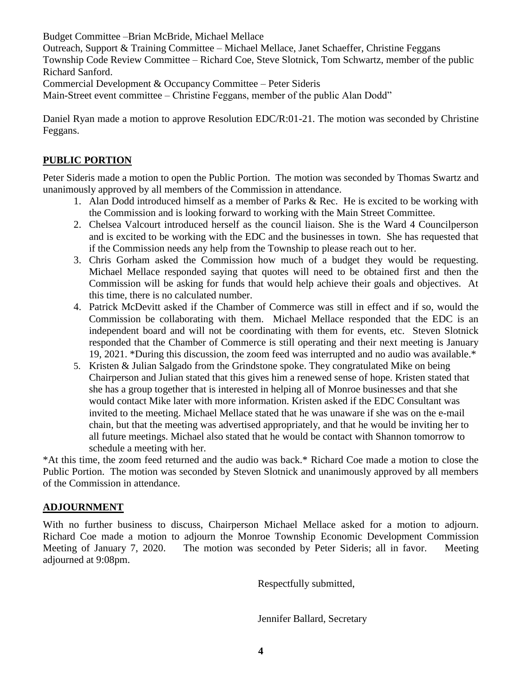Budget Committee –Brian McBride, Michael Mellace

Outreach, Support & Training Committee – Michael Mellace, Janet Schaeffer, Christine Feggans Township Code Review Committee – Richard Coe, Steve Slotnick, Tom Schwartz, member of the public Richard Sanford.

Commercial Development & Occupancy Committee – Peter Sideris

Main-Street event committee – Christine Feggans, member of the public Alan Dodd"

Daniel Ryan made a motion to approve Resolution EDC/R:01-21. The motion was seconded by Christine Feggans.

# **PUBLIC PORTION**

Peter Sideris made a motion to open the Public Portion. The motion was seconded by Thomas Swartz and unanimously approved by all members of the Commission in attendance.

- 1. Alan Dodd introduced himself as a member of Parks & Rec. He is excited to be working with the Commission and is looking forward to working with the Main Street Committee.
- 2. Chelsea Valcourt introduced herself as the council liaison. She is the Ward 4 Councilperson and is excited to be working with the EDC and the businesses in town. She has requested that if the Commission needs any help from the Township to please reach out to her.
- 3. Chris Gorham asked the Commission how much of a budget they would be requesting. Michael Mellace responded saying that quotes will need to be obtained first and then the Commission will be asking for funds that would help achieve their goals and objectives. At this time, there is no calculated number.
- 4. Patrick McDevitt asked if the Chamber of Commerce was still in effect and if so, would the Commission be collaborating with them. Michael Mellace responded that the EDC is an independent board and will not be coordinating with them for events, etc. Steven Slotnick responded that the Chamber of Commerce is still operating and their next meeting is January 19, 2021. \*During this discussion, the zoom feed was interrupted and no audio was available.\*
- 5. Kristen & Julian Salgado from the Grindstone spoke. They congratulated Mike on being Chairperson and Julian stated that this gives him a renewed sense of hope. Kristen stated that she has a group together that is interested in helping all of Monroe businesses and that she would contact Mike later with more information. Kristen asked if the EDC Consultant was invited to the meeting. Michael Mellace stated that he was unaware if she was on the e-mail chain, but that the meeting was advertised appropriately, and that he would be inviting her to all future meetings. Michael also stated that he would be contact with Shannon tomorrow to schedule a meeting with her.

\*At this time, the zoom feed returned and the audio was back.\* Richard Coe made a motion to close the Public Portion. The motion was seconded by Steven Slotnick and unanimously approved by all members of the Commission in attendance.

### **ADJOURNMENT**

With no further business to discuss, Chairperson Michael Mellace asked for a motion to adjourn. Richard Coe made a motion to adjourn the Monroe Township Economic Development Commission Meeting of January 7, 2020. The motion was seconded by Peter Sideris; all in favor. Meeting adjourned at 9:08pm.

Respectfully submitted,

Jennifer Ballard, Secretary